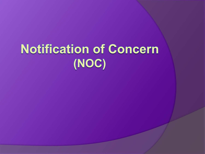# **Notification of Concern** (NOC)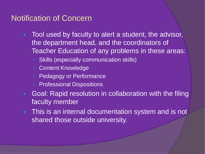#### Notification of Concern

- Tool used by faculty to alert a student, the advisor, the department head, and the coordinators of Teacher Education of any problems in these areas:
	- Skills (especially communication skills)
	- Content Knowledge
	- **Pedagogy or Performance**
	- **Professional Dispositions**
- Goal: Rapid resolution in collaboration with the filing faculty member
- This is an internal documentation system and is not shared those outside university.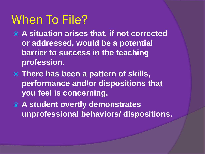### When To File?

- **A situation arises that, if not corrected or addressed, would be a potential barrier to success in the teaching profession.**
- **There has been a pattern of skills, performance and/or dispositions that you feel is concerning.**
- **A student overtly demonstrates unprofessional behaviors/ dispositions.**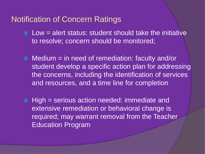#### Notification of Concern Ratings

- $\odot$  Low = alert status: student should take the initiative to resolve; concern should be monitored;
- Medium = in need of remediation: faculty and/or student develop a specific action plan for addressing the concerns, including the identification of services and resources, and a time line for completion
- High = serious action needed: immediate and extensive remediation or behavioral change is required; may warrant removal from the Teacher Education Program